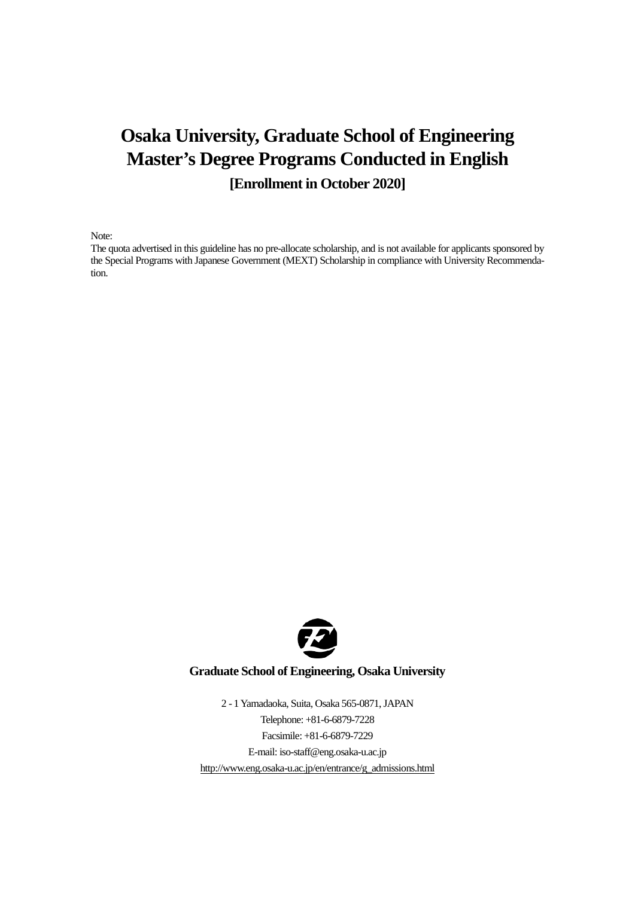# **Osaka University, Graduate School of Engineering Master's Degree Programs Conducted in English [Enrollment in October 2020]**

Note:

The quota advertised in this guideline has no pre-allocate scholarship, and is not available for applicants sponsored by the Special Programs with Japanese Government (MEXT) Scholarship in compliance with University Recommendation.



## **Graduate School of Engineering, Osaka University**

2 - 1 Yamadaoka, Suita, Osaka 565-0871, JAPAN Telephone: +81-6-6879-7228 Facsimile: +81-6-6879-7229 E-mail: iso-staff@eng.osaka-u.ac.jp [http://www.eng.osaka-u.ac.jp/en/entrance/g\\_admissions.html](http://www.eng.osaka-u.ac.jp/en/entrance/g_admissions.html)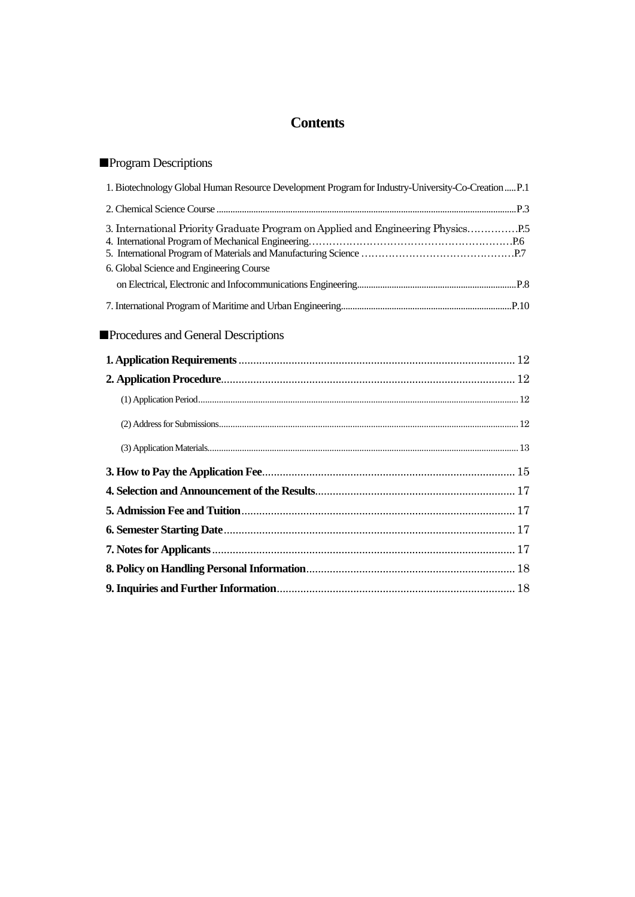# **Contents**

# ■Program Descriptions

| 1. Biotechnology Global Human Resource Development Program for Industry-University-Co-Creation  P.1                       |
|---------------------------------------------------------------------------------------------------------------------------|
|                                                                                                                           |
| 3. International Priority Graduate Program on Applied and Engineering Physics<br>6. Global Science and Engineering Course |
|                                                                                                                           |
|                                                                                                                           |
| <b>Procedures and General Descriptions</b>                                                                                |
|                                                                                                                           |
|                                                                                                                           |
|                                                                                                                           |
|                                                                                                                           |
|                                                                                                                           |
|                                                                                                                           |
|                                                                                                                           |
|                                                                                                                           |
|                                                                                                                           |
|                                                                                                                           |
|                                                                                                                           |

**9. Inquiries and Further Information**[.................................................................................18](#page-19-1)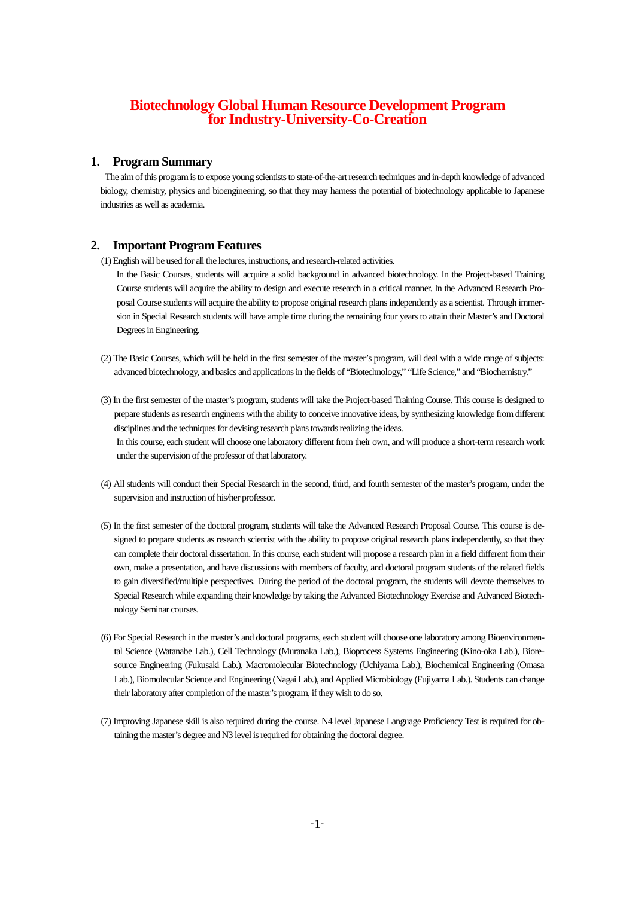# **Biotechnology Global Human Resource Development Program for Industry-University-Co-Creation**

### **1. Program Summary**

 The aim of this program is to expose young scientists to state-of-the-art research techniques and in-depth knowledge of advanced biology, chemistry, physics and bioengineering, so that they may harness the potential of biotechnology applicable to Japanese industries as well as academia.

### **2. Important Program Features**

(1) English will be used for all the lectures, instructions, and research-related activities.

In the Basic Courses, students will acquire a solid background in advanced biotechnology. In the Project-based Training Course students will acquire the ability to design and execute research in a critical manner. In the Advanced Research Proposal Course students will acquire the ability to propose original research plans independently as a scientist. Through immersion in Special Research students will have ample time during the remaining four years to attain their Master's and Doctoral Degrees in Engineering.

- (2) The Basic Courses, which will be held in the first semester of the master's program, will deal with a wide range of subjects: advanced biotechnology, and basics and applications in the fields of "Biotechnology," "Life Science," and "Biochemistry."
- (3) In the first semester of the master's program, students will take the Project-based Training Course. This course is designed to prepare students as research engineers with the ability to conceive innovative ideas, by synthesizing knowledge from different disciplines and the techniques for devising research plans towards realizing the ideas. In this course, each student will choose one laboratory different from their own, and will produce a short-term research work under the supervision of the professor of that laboratory.
- (4) All students will conduct their Special Research in the second, third, and fourth semester of the master's program, under the supervision and instruction of his/her professor.
- (5) In the first semester of the doctoral program, students will take the Advanced Research Proposal Course. This course is designed to prepare students as research scientist with the ability to propose original research plans independently, so that they can complete their doctoral dissertation. In this course, each student will propose a research plan in a field different from their own, make a presentation, and have discussions with members of faculty, and doctoral program students of the related fields to gain diversified/multiple perspectives. During the period of the doctoral program, the students will devote themselves to Special Research while expanding their knowledge by taking the Advanced Biotechnology Exercise and Advanced Biotechnology Seminar courses.
- (6) For Special Research in the master's and doctoral programs, each student will choose one laboratory among Bioenvironmental Science (Watanabe Lab.), Cell Technology (Muranaka Lab.), Bioprocess Systems Engineering (Kino-oka Lab.), Bioresource Engineering (Fukusaki Lab.), Macromolecular Biotechnology (Uchiyama Lab.), Biochemical Engineering (Omasa Lab.), Biomolecular Science and Engineering (Nagai Lab.), and Applied Microbiology (Fujiyama Lab.). Students can change their laboratory after completion of the master's program, if they wish to do so.
- (7) Improving Japanese skill is also required during the course. N4 level Japanese Language Proficiency Test is required for obtaining the master's degree and N3 level is required for obtaining the doctoral degree.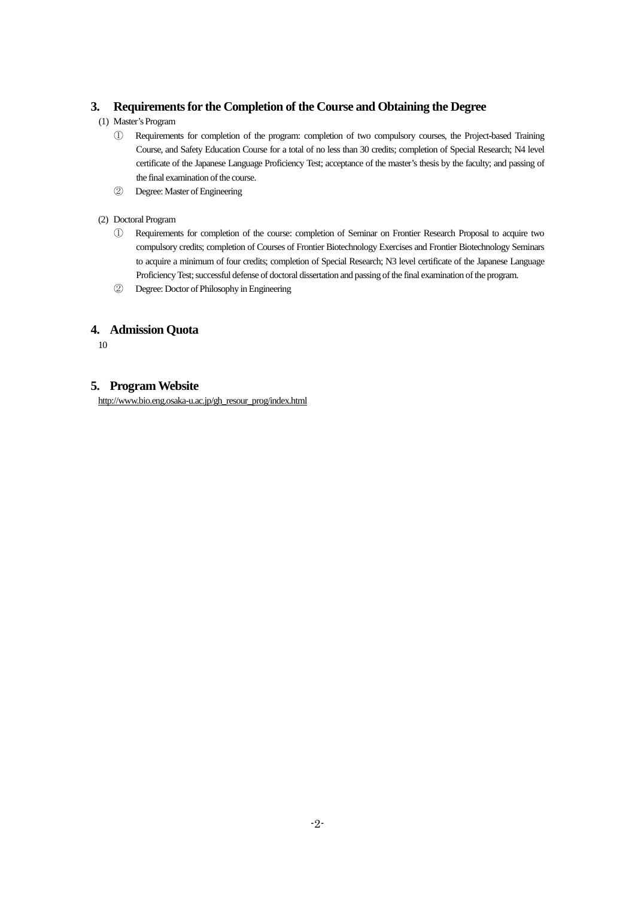## **3. Requirements for the Completion of the Course and Obtaining the Degree**

- (1) Master's Program
	- ① Requirements for completion of the program: completion of two compulsory courses, the Project-based Training Course, and Safety Education Course for a total of no less than 30 credits; completion of Special Research; N4 level certificate of the Japanese Language Proficiency Test; acceptance of the master's thesis by the faculty; and passing of the final examination of the course.
	- ② Degree: Master of Engineering
- (2) Doctoral Program
	- ① Requirements for completion of the course: completion of Seminar on Frontier Research Proposal to acquire two compulsory credits; completion of Courses of Frontier Biotechnology Exercises and Frontier Biotechnology Seminars to acquire a minimum of four credits; completion of Special Research; N3 level certificate of the Japanese Language Proficiency Test; successful defense of doctoral dissertation and passing of the final examination of the program.
	- ② Degree: Doctor of Philosophy in Engineering

## **4. Admission Quota**

10

## **5. Program Website**

[http://www.bio.eng.osaka-u.ac.jp/gh\\_resour\\_prog/index.html](http://www.bio.eng.osaka-u.ac.jp/gh_resour_prog/index.html)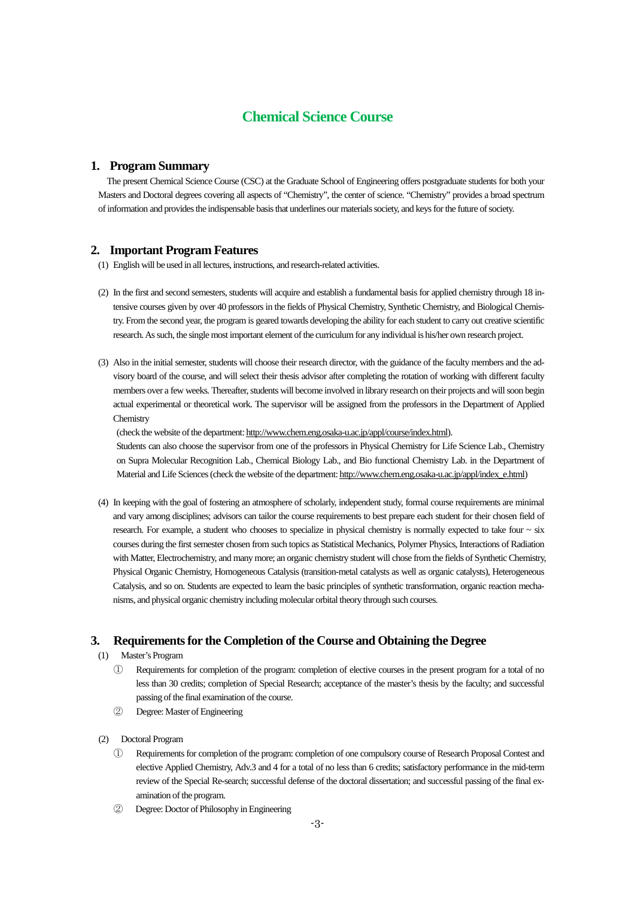# **Chemical Science Course**

### **1. Program Summary**

The present Chemical Science Course (CSC) at the Graduate School of Engineering offers postgraduate students for both your Masters and Doctoral degrees covering all aspects of "Chemistry", the center of science. "Chemistry" provides a broad spectrum of information and provides the indispensable basis that underlines our materials society, and keys for the future of society.

### **2. Important Program Features**

(1) English will be used in all lectures, instructions, and research-related activities.

- (2) In the first and second semesters, students will acquire and establish a fundamental basis for applied chemistry through 18 intensive courses given by over 40 professors in the fields of Physical Chemistry, Synthetic Chemistry, and Biological Chemistry. From the second year, the program is geared towards developing the ability for each student to carry out creative scientific research. As such, the single most important element of the curriculum for any individual is his/her own research project.
- (3) Also in the initial semester, students will choose their research director, with the guidance of the faculty members and the advisory board of the course, and will select their thesis advisor after completing the rotation of working with different faculty members over a few weeks. Thereafter, students will become involved in library research on their projects and will soon begin actual experimental or theoretical work. The supervisor will be assigned from the professors in the Department of Applied **Chemistry**

(check the website of the department: [http://www.chem.eng.osaka-u.ac.jp/appl/course/index.html\)](http://www.chem.eng.osaka-u.ac.jp/appl/course/index.html).

Students can also choose the supervisor from one of the professors in Physical Chemistry for Life Science Lab., Chemistry on Supra Molecular Recognition Lab., Chemical Biology Lab., and Bio functional Chemistry Lab. in the Department of Material and Life Sciences (check the website of the department: [http://www.chem.eng.osaka-u.ac.jp/appl/index\\_e.html\)](http://www.chem.eng.osaka-u.ac.jp/appl/index_e.html)

(4) In keeping with the goal of fostering an atmosphere of scholarly, independent study, formal course requirements are minimal and vary among disciplines; advisors can tailor the course requirements to best prepare each student for their chosen field of research. For example, a student who chooses to specialize in physical chemistry is normally expected to take four ~ six courses during the first semester chosen from such topics as Statistical Mechanics, Polymer Physics, Interactions of Radiation with Matter, Electrochemistry, and many more; an organic chemistry student will chose from the fields of Synthetic Chemistry, Physical Organic Chemistry, Homogeneous Catalysis (transition-metal catalysts as well as organic catalysts), Heterogeneous Catalysis, and so on. Students are expected to learn the basic principles of synthetic transformation, organic reaction mechanisms, and physical organic chemistry including molecular orbital theory through such courses.

### **3. Requirements for the Completion of the Course and Obtaining the Degree**

- (1) Master's Program
	- ① Requirements for completion of the program: completion of elective courses in the present program for a total of no less than 30 credits; completion of Special Research; acceptance of the master's thesis by the faculty; and successful passing of the final examination of the course.
	- ② Degree: Master of Engineering
- (2) Doctoral Program
	- ① Requirements for completion of the program: completion of one compulsory course of Research Proposal Contest and elective Applied Chemistry, Adv.3 and 4 for a total of no less than 6 credits; satisfactory performance in the mid-term review of the Special Re-search; successful defense of the doctoral dissertation; and successful passing of the final examination of the program.
	- ② Degree: Doctor of Philosophy in Engineering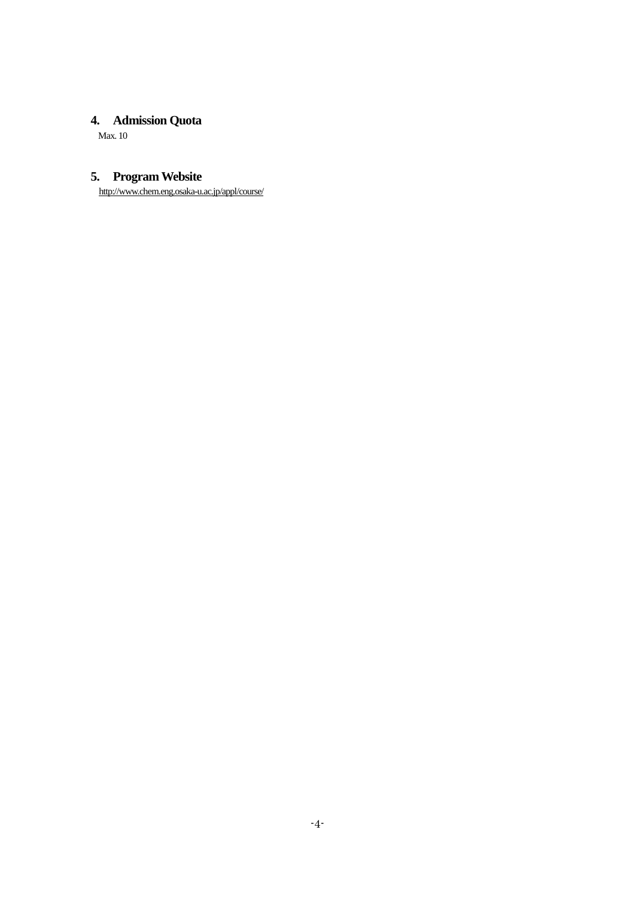# **4. Admission Quota**

Max. 10

# **5. Program Website**

http://www.chem.eng.osaka-u.ac.jp/appl/course/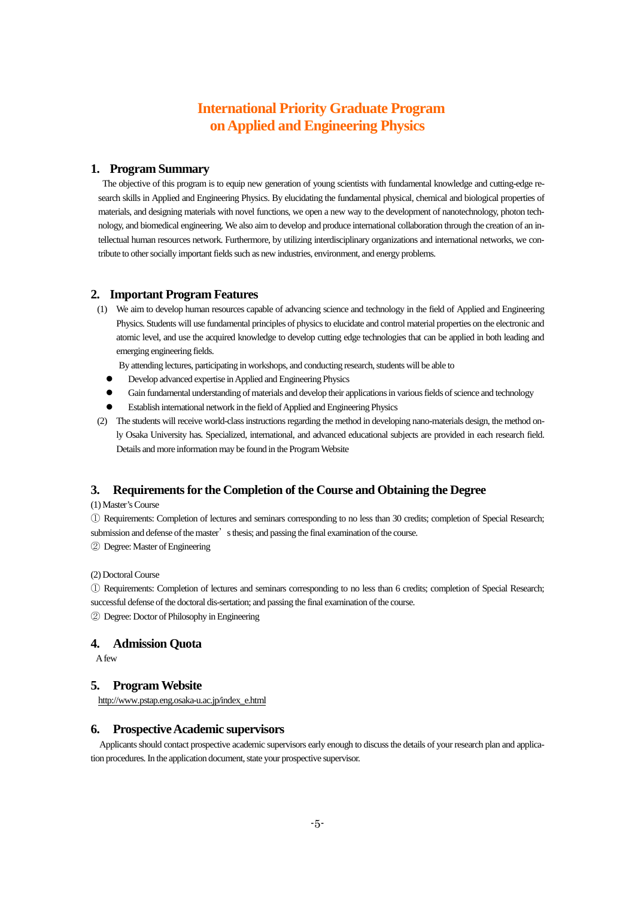# **International Priority Graduate Program on Applied and Engineering Physics**

### **1. Program Summary**

The objective of this program is to equip new generation of young scientists with fundamental knowledge and cutting-edge research skills in Applied and Engineering Physics. By elucidating the fundamental physical, chemical and biological properties of materials, and designing materials with novel functions, we open a new way to the development of nanotechnology, photon technology, and biomedical engineering. We also aim to develop and produce international collaboration through the creation of an intellectual human resources network. Furthermore, by utilizing interdisciplinary organizations and international networks, we contribute to other socially important fields such as new industries, environment, and energy problems.

### **2. Important Program Features**

(1) We aim to develop human resources capable of advancing science and technology in the field of Applied and Engineering Physics. Students will use fundamental principles of physics to elucidate and control material properties on the electronic and atomic level, and use the acquired knowledge to develop cutting edge technologies that can be applied in both leading and emerging engineering fields.

By attending lectures, participating in workshops, and conducting research, students will be able to

- Develop advanced expertise in Applied and Engineering Physics
- Gain fundamental understanding of materials and develop their applications in various fields of science and technology
- Establish international network in the field of Applied and Engineering Physics
- (2) The students will receive world-class instructions regarding the method in developing nano-materials design, the method only Osaka University has. Specialized, international, and advanced educational subjects are provided in each research field. Details and more information may be found in the Program Website

### **3. Requirements for the Completion of the Course and Obtaining the Degree**

### (1) Master's Course

① Requirements: Completion of lectures and seminars corresponding to no less than 30 credits; completion of Special Research; submission and defense of the master's thesis; and passing the final examination of the course.

② Degree: Master of Engineering

(2) Doctoral Course

① Requirements: Completion of lectures and seminars corresponding to no less than 6 credits; completion of Special Research; successful defense of the doctoral dis-sertation; and passing the final examination of the course.

② Degree: Doctor of Philosophy in Engineering

### **4. Admission Quota**

A few

### **5. Program Website**

http://www.pstap.eng.osaka-u.ac.jp/index\_e.html

### **6. Prospective Academic supervisors**

Applicants should contact prospective academic supervisors early enough to discuss the details of your research plan and application procedures. In the application document, state your prospective supervisor.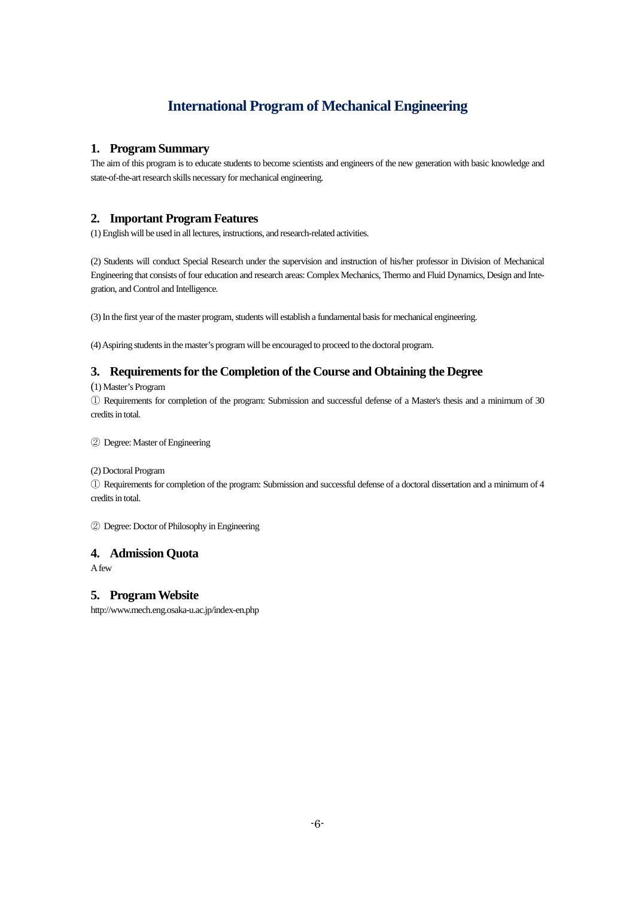# **International Program of Mechanical Engineering**

### **1. Program Summary**

The aim of this program is to educate students to become scientists and engineers of the new generation with basic knowledge and state-of-the-art research skills necessary for mechanical engineering.

## **2. Important Program Features**

(1) English will be used in all lectures, instructions, and research-related activities.

(2) Students will conduct Special Research under the supervision and instruction of his/her professor in Division of Mechanical Engineering that consists of four education and research areas: Complex Mechanics, Thermo and Fluid Dynamics, Design and Integration, and Control and Intelligence.

(3) In the first year of the master program, students will establish a fundamental basis for mechanical engineering.

(4) Aspiring students in the master's program will be encouraged to proceed to the doctoral program.

# **3. Requirements for the Completion of the Course and Obtaining the Degree**

(1) Master's Program

① Requirements for completion of the program: Submission and successful defense of a Master's thesis and a minimum of 30 credits in total.

② Degree: Master of Engineering

(2) Doctoral Program

① Requirements for completion of the program: Submission and successful defense of a doctoral dissertation and a minimum of 4 credits in total.

② Degree: Doctor of Philosophy in Engineering

### **4. Admission Quota**

Afew

### **5. Program Website**

http://www.mech.eng.osaka-u.ac.jp/index-en.php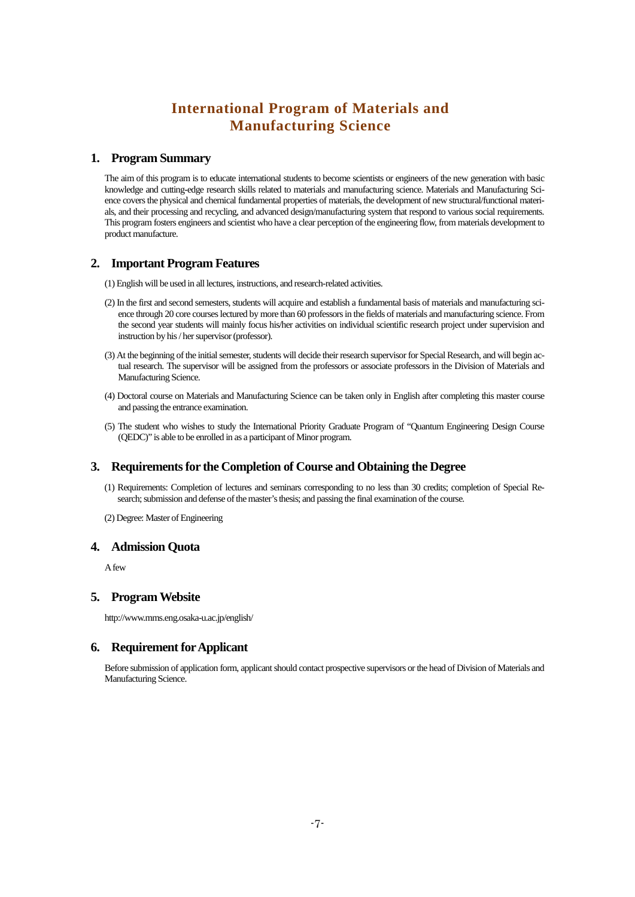# **International Program of Materials and Manufacturing Science**

### **1. Program Summary**

The aim of this program is to educate international students to become scientists or engineers of the new generation with basic knowledge and cutting-edge research skills related to materials and manufacturing science. Materials and Manufacturing Science covers the physical and chemical fundamental properties of materials, the development of new structural/functional materials, and their processing and recycling, and advanced design/manufacturing system that respond to various social requirements. This program fosters engineers and scientist who have a clear perception of the engineering flow, from materials development to product manufacture.

### **2. Important Program Features**

(1) English will be used in all lectures, instructions, and research-related activities.

- (2) In the first and second semesters, students will acquire and establish a fundamental basis of materials and manufacturing science through 20 core courses lectured by more than 60 professors in the fields of materials and manufacturing science. From the second year students will mainly focus his/her activities on individual scientific research project under supervision and instruction by his / her supervisor (professor).
- (3) At the beginning of the initial semester, students will decide their research supervisor for Special Research, and will begin actual research. The supervisor will be assigned from the professors or associate professors in the Division of Materials and Manufacturing Science.
- (4) Doctoral course on Materials and Manufacturing Science can be taken only in English after completing this master course and passing the entrance examination.
- (5) The student who wishes to study the International Priority Graduate Program of "Quantum Engineering Design Course (QEDC)" is able to be enrolled in as a participant of Minor program.

### **3. Requirements for the Completion of Course and Obtaining the Degree**

- (1) Requirements: Completion of lectures and seminars corresponding to no less than 30 credits; completion of Special Research; submission and defense of the master's thesis; and passing the final examination of the course.
- (2) Degree: Master of Engineering

### **4. Admission Quota**

A few

### **5. Program Website**

http://www.mms.eng.osaka-u.ac.jp/english/

### **6. Requirement for Applicant**

Before submission of application form, applicant should contact prospective supervisors or the head of Division of Materials and Manufacturing Science.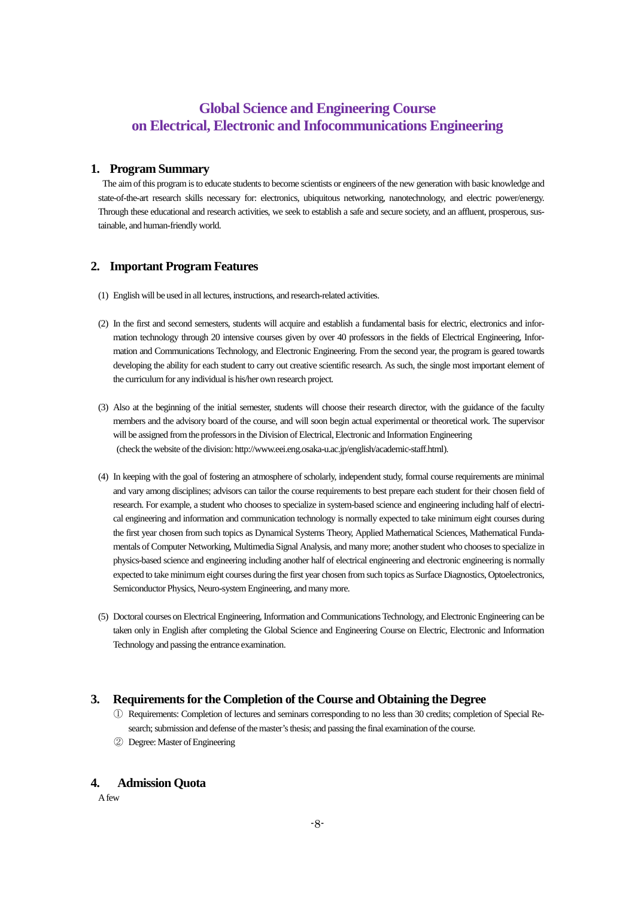# **Global Science and Engineering Course on Electrical, Electronic and Infocommunications Engineering**

### **1. Program Summary**

The aim of this program is to educate students to become scientists or engineers of the new generation with basic knowledge and state-of-the-art research skills necessary for: electronics, ubiquitous networking, nanotechnology, and electric power/energy. Through these educational and research activities, we seek to establish a safe and secure society, and an affluent, prosperous, sustainable, and human-friendly world.

### **2. Important Program Features**

- (1) English will be used in all lectures, instructions, and research-related activities.
- (2) In the first and second semesters, students will acquire and establish a fundamental basis for electric, electronics and information technology through 20 intensive courses given by over 40 professors in the fields of Electrical Engineering, Information and Communications Technology, and Electronic Engineering. From the second year, the program is geared towards developing the ability for each student to carry out creative scientific research. As such, the single most important element of the curriculum for any individual is his/her own research project.
- (3) Also at the beginning of the initial semester, students will choose their research director, with the guidance of the faculty members and the advisory board of the course, and will soon begin actual experimental or theoretical work. The supervisor will be assigned from the professors in the Division of Electrical, Electronic and Information Engineering (check the website of the division: http://www.eei.eng.osaka-u.ac.jp/english/academic-staff.html).
- (4) In keeping with the goal of fostering an atmosphere of scholarly, independent study, formal course requirements are minimal and vary among disciplines; advisors can tailor the course requirements to best prepare each student for their chosen field of research. For example, a student who chooses to specialize in system-based science and engineering including half of electrical engineering and information and communication technology is normally expected to take minimum eight courses during the first year chosen from such topics as Dynamical Systems Theory, Applied Mathematical Sciences, Mathematical Fundamentals of Computer Networking, Multimedia Signal Analysis, and many more; another student who chooses to specialize in physics-based science and engineering including another half of electrical engineering and electronic engineering is normally expected to take minimum eight courses during the first year chosen from such topics as Surface Diagnostics, Optoelectronics, Semiconductor Physics, Neuro-system Engineering, and many more.
- (5) Doctoral courses on Electrical Engineering, Information and Communications Technology, and Electronic Engineering can be taken only in English after completing the Global Science and Engineering Course on Electric, Electronic and Information Technology and passing the entrance examination.

### **3. Requirements for the Completion of the Course and Obtaining the Degree**

- ① Requirements: Completion of lectures and seminars corresponding to no less than 30 credits; completion of Special Research; submission and defense of the master's thesis; and passing the final examination of the course.
- ② Degree: Master of Engineering

### **4. Admission Quota**

A few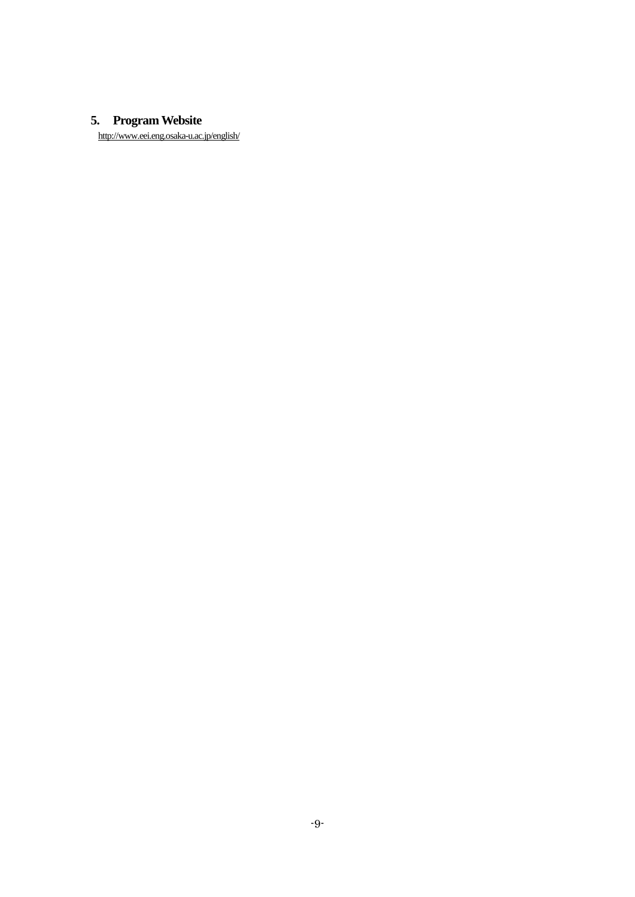# **5. Program Website**

http://www.eei.eng.osaka-u.ac.jp/english/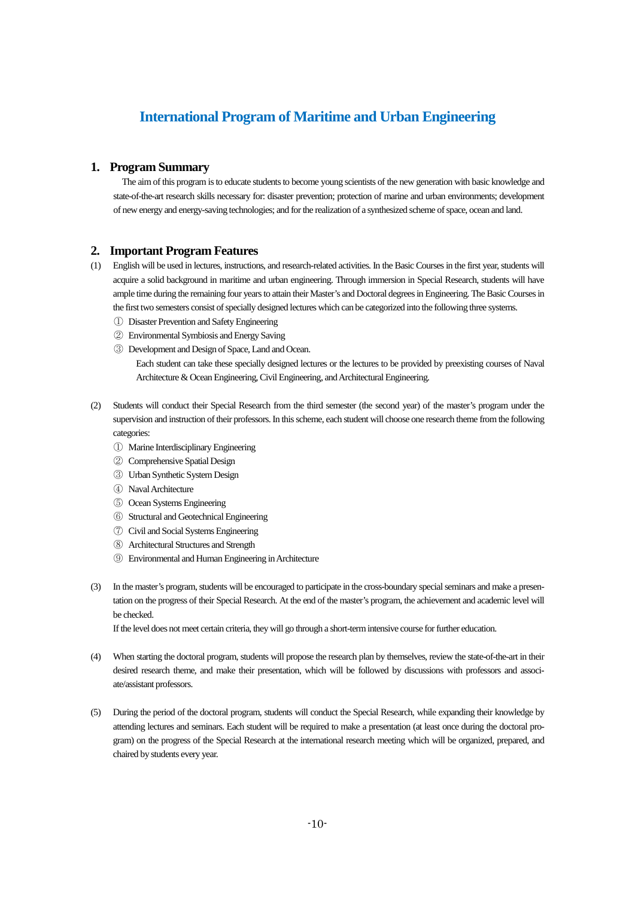# **International Program of Maritime and Urban Engineering**

### **1. Program Summary**

The aim of this program is to educate students to become young scientists of the new generation with basic knowledge and state-of-the-art research skills necessary for: disaster prevention; protection of marine and urban environments; development of new energy and energy-saving technologies; and for the realization of a synthesized scheme of space, ocean and land.

### **2. Important Program Features**

- (1) English will be used in lectures, instructions, and research-related activities. In the Basic Courses in the first year, students will acquire a solid background in maritime and urban engineering. Through immersion in Special Research, students will have ample time during the remaining four years to attain their Master's and Doctoral degrees in Engineering. The Basic Courses in the first two semesters consist of specially designed lectures which can be categorized into the following three systems.
	- ① Disaster Prevention and Safety Engineering
	- ② Environmental Symbiosis and Energy Saving
	- ③ Development and Design of Space, Land and Ocean.

Each student can take these specially designed lectures or the lectures to be provided by preexisting courses of Naval Architecture & Ocean Engineering, Civil Engineering, and Architectural Engineering.

- (2) Students will conduct their Special Research from the third semester (the second year) of the master's program under the supervision and instruction of their professors. In this scheme, each student will choose one research theme from the following categories:
	- ① Marine Interdisciplinary Engineering
	- ② Comprehensive Spatial Design
	- ③ Urban Synthetic System Design
	- ④ Naval Architecture
	- ⑤ Ocean Systems Engineering
	- ⑥ Structural and Geotechnical Engineering
	- ⑦ Civil and Social Systems Engineering
	- ⑧ Architectural Structures and Strength
	- ⑨ Environmental and Human Engineering in Architecture
- (3) In the master's program, students will be encouraged to participate in the cross-boundary special seminars and make a presentation on the progress of their Special Research. At the end of the master's program, the achievement and academic level will be checked.

If the level does not meet certain criteria, they will go through a short-term intensive course for further education.

- (4) When starting the doctoral program, students will propose the research plan by themselves, review the state-of-the-art in their desired research theme, and make their presentation, which will be followed by discussions with professors and associate/assistant professors.
- (5) During the period of the doctoral program, students will conduct the Special Research, while expanding their knowledge by attending lectures and seminars. Each student will be required to make a presentation (at least once during the doctoral program) on the progress of the Special Research at the international research meeting which will be organized, prepared, and chaired by students every year.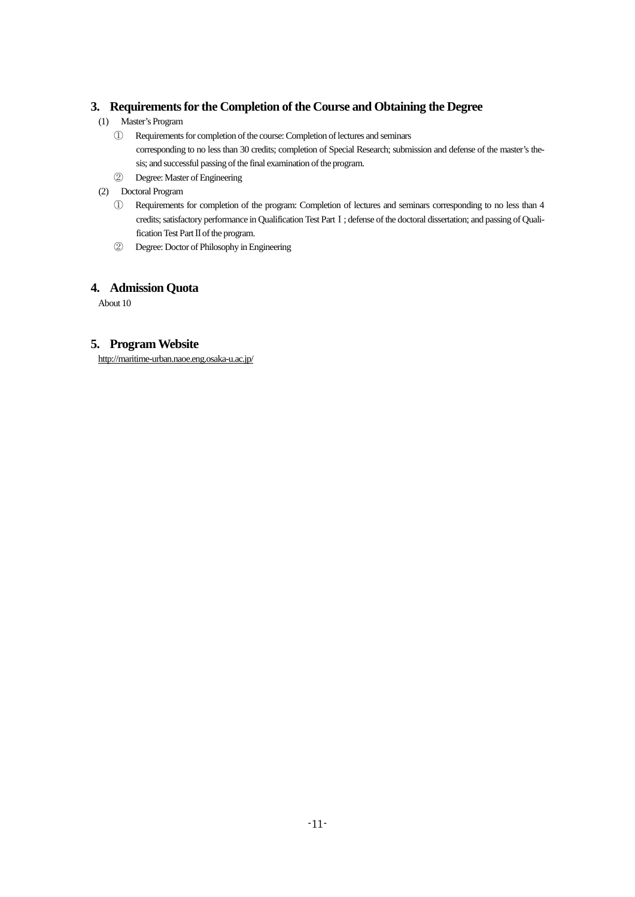## **3. Requirements for the Completion of the Course and Obtaining the Degree**

- (1) Master's Program
	- ① Requirements for completion of the course: Completion of lectures and seminars corresponding to no less than 30 credits; completion of Special Research; submission and defense of the master's thesis; and successful passing of the final examination of the program.
	- ② Degree: Master of Engineering
- (2) Doctoral Program
	- ① Requirements for completion of the program: Completion of lectures and seminars corresponding to no less than 4 credits; satisfactory performance in Qualification Test Part I; defense of the doctoral dissertation; and passing of Qualification Test Part Ⅱ of the program.
	- ② Degree: Doctor of Philosophy in Engineering

## **4. Admission Quota**

About 10

## **5. Program Website**

http://maritime-urban.naoe.eng.osaka-u.ac.jp/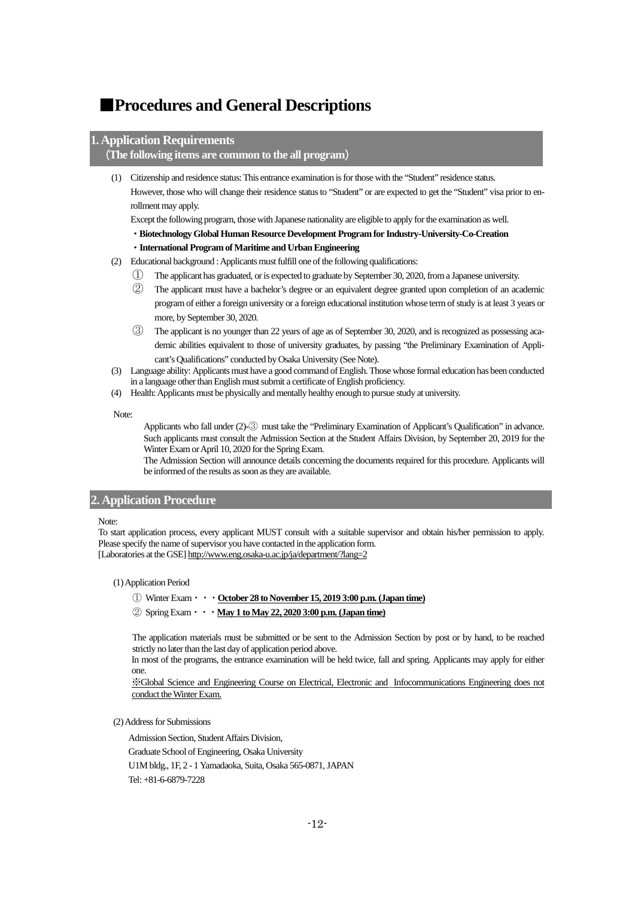# <span id="page-13-0"></span>■**Procedures and General Descriptions**

### **1. Application Requirements**

### (**The following items are common to the all program**)

(1) Citizenship and residence status: This entrance examination is for those with the "Student" residence status. However, those who will change their residence status to "Student" or are expected to get the "Student" visa prior to enrollment may apply.

Except the following program, those with Japanese nationality are eligible to apply for the examination as well.

・**Biotechnology Global Human Resource Development Program for Industry-University-Co-Creation**

#### ・**International Program of Maritime and Urban Engineering**

- (2) Educational background : Applicants must fulfill one of the following qualifications:
	- ① The applicant has graduated, or is expected to graduate by September 30, 2020, from a Japanese university.
	- ② The applicant must have a bachelor's degree or an equivalent degree granted upon completion of an academic program of either a foreign university or a foreign educational institution whose term of study is at least 3 years or more, by September 30, 2020.
	- ③ The applicant is no younger than 22 years of age as of September 30, 2020, and is recognized as possessing academic abilities equivalent to those of university graduates, by passing "the Preliminary Examination of Applicant's Qualifications" conducted by Osaka University (See Note).
- (3) Language ability: Applicants must have a good command of English. Those whose formal education has been conducted in a language other than English must submit a certificate of English proficiency.
- (4) Health: Applicants must be physically and mentally healthy enough to pursue study at university.

Note:

Applicants who fall under (2)-③ must take the "Preliminary Examination of Applicant's Qualification" in advance. Such applicants must consult the Admission Section at the Student Affairs Division, by September 20, 2019 for the Winter Examor April 10, 2020 for the Spring Exam.

The Admission Section will announce details concerning the documents required for this procedure. Applicants will be informed of the results as soon as they are available.

### <span id="page-13-1"></span>**2. Application Procedure**

### Note:

To start application process, every applicant MUST consult with a suitable supervisor and obtain his/her permission to apply. Please specify the name of supervisor you have contacted in the application form. [Laboratories at the GSE] http://www.eng.osaka-u.ac.jp/ja/department/?lang=2

#### <span id="page-13-2"></span>(1) Application Period

① Winter Exam・・・**October 28 to November 15, 2019 3:00 p.m. (Japan time)**

#### ② Spring Exam・・・**May 1 to May 22, 2020 3:00 p.m. (Japan time)**

The application materials must be submitted or be sent to the Admission Section by post or by hand, to be reached strictly no later than the last day of application period above.

In most of the programs, the entrance examination will be held twice, fall and spring. Applicants may apply for either one.

※Global Science and Engineering Course on Electrical, Electronic and Infocommunications Engineering does not conduct the Winter Exam.

### <span id="page-13-3"></span>(2) Address for Submissions

Admission Section, Student Affairs Division, Graduate School of Engineering, Osaka University U1M bldg., 1F, 2 - 1 Yamadaoka, Suita, Osaka 565-0871, JAPAN Tel: +81-6-6879-7228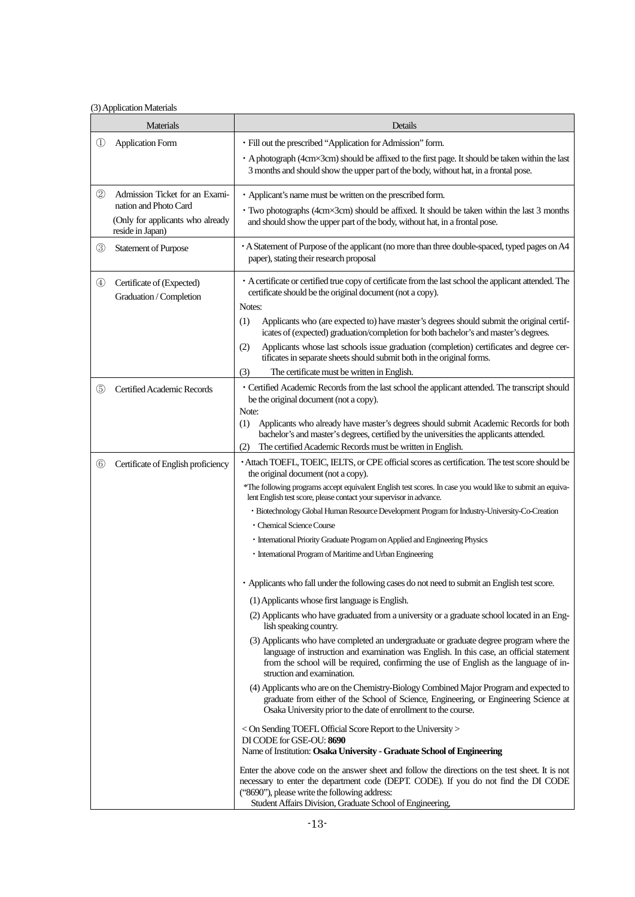### <span id="page-14-0"></span>(3) Application Materials

| Materials                                                                     |                                                      | Details                                                                                                                                                                                                                                                                                                     |  |  |
|-------------------------------------------------------------------------------|------------------------------------------------------|-------------------------------------------------------------------------------------------------------------------------------------------------------------------------------------------------------------------------------------------------------------------------------------------------------------|--|--|
| $^{\textcircled{\scriptsize{1}}}$                                             | <b>Application Form</b>                              | · Fill out the prescribed "Application for Admission" form.                                                                                                                                                                                                                                                 |  |  |
|                                                                               |                                                      | • A photograph (4cm×3cm) should be affixed to the first page. It should be taken within the last<br>3 months and should show the upper part of the body, without hat, in a frontal pose.                                                                                                                    |  |  |
| 2                                                                             | Admission Ticket for an Exami-                       | • Applicant's name must be written on the prescribed form.                                                                                                                                                                                                                                                  |  |  |
| nation and Photo Card<br>(Only for applicants who already<br>reside in Japan) |                                                      | • Two photographs (4cm×3cm) should be affixed. It should be taken within the last 3 months<br>and should show the upper part of the body, without hat, in a frontal pose.                                                                                                                                   |  |  |
| ③                                                                             | <b>Statement of Purpose</b>                          | • A Statement of Purpose of the applicant (no more than three double-spaced, typed pages on A4<br>paper), stating their research proposal                                                                                                                                                                   |  |  |
| $^{\circledR}$                                                                | Certificate of (Expected)<br>Graduation / Completion | • A certificate or certified true copy of certificate from the last school the applicant attended. The<br>certificate should be the original document (not a copy).<br>Notes:                                                                                                                               |  |  |
|                                                                               |                                                      | (1)<br>Applicants who (are expected to) have master's degrees should submit the original certif-<br>icates of (expected) graduation/completion for both bachelor's and master's degrees.                                                                                                                    |  |  |
|                                                                               |                                                      | Applicants whose last schools issue graduation (completion) certificates and degree cer-<br>(2)<br>tificates in separate sheets should submit both in the original forms.                                                                                                                                   |  |  |
|                                                                               |                                                      | The certificate must be written in English.<br>(3)                                                                                                                                                                                                                                                          |  |  |
| $\circledS$                                                                   | Certified Academic Records                           | • Certified Academic Records from the last school the applicant attended. The transcript should<br>be the original document (not a copy).<br>Note:                                                                                                                                                          |  |  |
|                                                                               |                                                      | Applicants who already have master's degrees should submit Academic Records for both<br>(1)<br>bachelor's and master's degrees, certified by the universities the applicants attended.<br>The certified Academic Records must be written in English.<br>(2)                                                 |  |  |
| $^{\circ}$                                                                    | Certificate of English proficiency                   | · Attach TOEFL, TOEIC, IELTS, or CPE official scores as certification. The test score should be<br>the original document (not a copy).                                                                                                                                                                      |  |  |
|                                                                               |                                                      | *The following programs accept equivalent English test scores. In case you would like to submit an equiva-<br>lent English test score, please contact your supervisor in advance.                                                                                                                           |  |  |
|                                                                               |                                                      | · Biotechnology Global Human Resource Development Program for Industry-University-Co-Creation                                                                                                                                                                                                               |  |  |
|                                                                               |                                                      | · Chemical Science Course                                                                                                                                                                                                                                                                                   |  |  |
|                                                                               |                                                      | • International Priority Graduate Program on Applied and Engineering Physics<br>• International Program of Maritime and Urban Engineering                                                                                                                                                                   |  |  |
|                                                                               |                                                      | • Applicants who fall under the following cases do not need to submit an English test score.                                                                                                                                                                                                                |  |  |
|                                                                               |                                                      | (1) Applicants whose first language is English.                                                                                                                                                                                                                                                             |  |  |
|                                                                               |                                                      | (2) Applicants who have graduated from a university or a graduate school located in an Eng-<br>lish speaking country.                                                                                                                                                                                       |  |  |
|                                                                               |                                                      | (3) Applicants who have completed an undergraduate or graduate degree program where the<br>language of instruction and examination was English. In this case, an official statement<br>from the school will be required, confirming the use of English as the language of in-<br>struction and examination. |  |  |
|                                                                               |                                                      | (4) Applicants who are on the Chemistry-Biology Combined Major Program and expected to<br>graduate from either of the School of Science, Engineering, or Engineering Science at<br>Osaka University prior to the date of enrollment to the course.                                                          |  |  |
|                                                                               |                                                      | < On Sending TOEFL Official Score Report to the University ><br>DI CODE for GSE-OU: 8690<br>Name of Institution: Osaka University - Graduate School of Engineering                                                                                                                                          |  |  |
|                                                                               |                                                      |                                                                                                                                                                                                                                                                                                             |  |  |
|                                                                               |                                                      | Enter the above code on the answer sheet and follow the directions on the test sheet. It is not<br>necessary to enter the department code (DEPT. CODE). If you do not find the DI CODE<br>("8690"), please write the following address:                                                                     |  |  |
|                                                                               |                                                      | Student Affairs Division, Graduate School of Engineering,                                                                                                                                                                                                                                                   |  |  |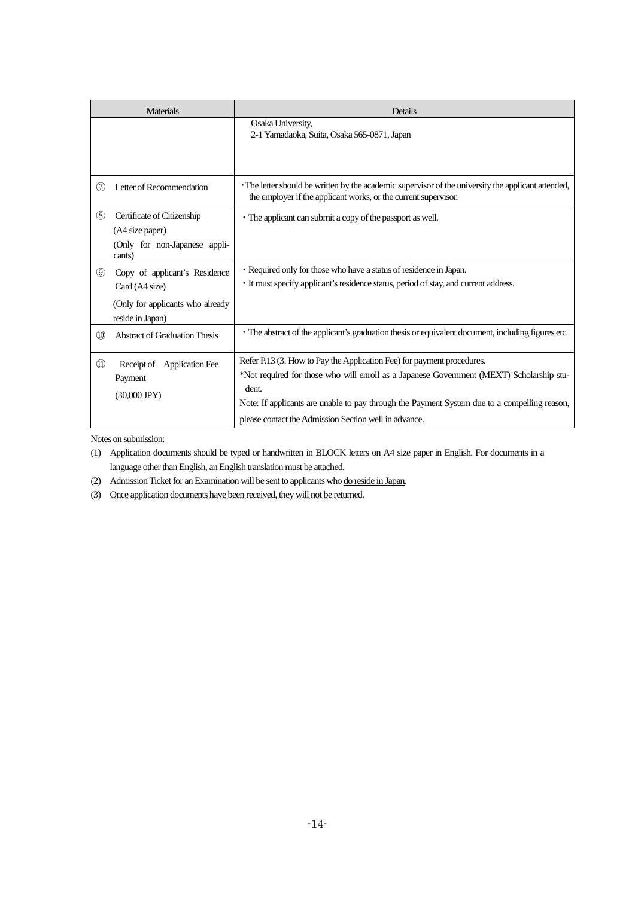| <b>Materials</b>                                                                                                       |                        | Details                                                                                                                                                                                                                                                                                                                              |
|------------------------------------------------------------------------------------------------------------------------|------------------------|--------------------------------------------------------------------------------------------------------------------------------------------------------------------------------------------------------------------------------------------------------------------------------------------------------------------------------------|
|                                                                                                                        |                        | Osaka University,<br>2-1 Yamadaoka, Suita, Osaka 565-0871, Japan                                                                                                                                                                                                                                                                     |
| Letter of Recommendation<br>(7)                                                                                        |                        | • The letter should be written by the academic supervisor of the university the applicant attended,<br>the employer if the applicant works, or the current supervisor.                                                                                                                                                               |
| (8)<br>Certificate of Citizenship<br>(A4 size paper)<br>(Only for non-Japanese appli-<br>cants)                        |                        | • The applicant can submit a copy of the passport as well.                                                                                                                                                                                                                                                                           |
| $\circledS$<br>Copy of applicant's Residence<br>Card (A4 size)<br>(Only for applicants who already<br>reside in Japan) |                        | • Required only for those who have a status of residence in Japan.<br>• It must specify applicant's residence status, period of stay, and current address.                                                                                                                                                                           |
| $\circledR$<br><b>Abstract of Graduation Thesis</b>                                                                    |                        | • The abstract of the applicant's graduation thesis or equivalent document, including figures etc.                                                                                                                                                                                                                                   |
| $\textcircled{\scriptsize{1}}$<br>Receipt of<br>Payment<br>$(30,000$ JPY)                                              | <b>Application Fee</b> | Refer P.13 (3. How to Pay the Application Fee) for payment procedures.<br>*Not required for those who will enroll as a Japanese Government (MEXT) Scholarship stu-<br>dent.<br>Note: If applicants are unable to pay through the Payment System due to a compelling reason,<br>please contact the Admission Section well in advance. |

Notes on submission:

(1) Application documents should be typed or handwritten in BLOCK letters on A4 size paper in English. For documents in a language other than English, an English translation must be attached.

(2) Admission Ticket for an Examination will be sent to applicants who do reside in Japan.

(3) Once application documents have been received, they will not be returned.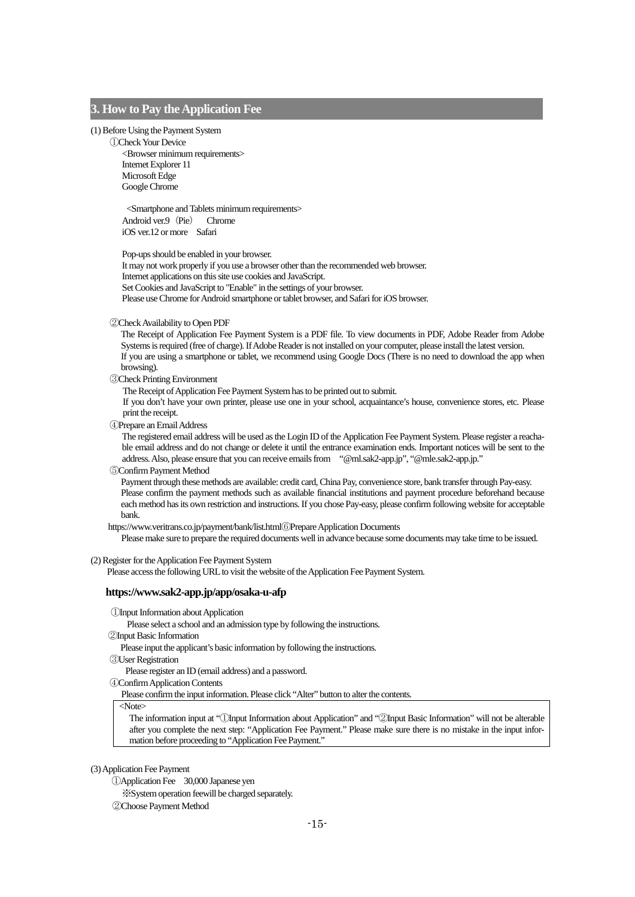### <span id="page-16-0"></span>**3. How to Pay the Application Fee**

#### (1) Before Using the Payment System

①Check Your Device

<Browser minimum requirements> Internet Explorer 11 Microsoft Edge Google Chrome

<Smartphone and Tablets minimum requirements> Android ver.9 (Pie) Chrome iOS ver.12 or more Safari

Pop-ups should be enabled in your browser.

It may not work properly if you use a browser other than the recommended web browser. Internet applications on this site use cookies and JavaScript. Set Cookies and JavaScript to "Enable" in the settings of your browser. Please use Chrome for Android smartphone or tablet browser, and Safari for iOS browser.

#### ②Check Availability to Open PDF

The Receipt of Application Fee Payment System is a PDF file. To view documents in PDF, Adobe Reader from Adobe Systems is required (free of charge). If Adobe Reader is not installed on your computer, please install the latest version. If you are using a smartphone or tablet, we recommend using Google Docs (There is no need to download the app when browsing).

### ③Check Printing Environment

The Receipt of Application Fee Payment System has to be printed out to submit.

If you don't have your own printer, please use one in your school, acquaintance's house, convenience stores, etc. Please print the receipt.

④Prepare an Email Address

The registered email address will be used as the Login ID of the Application Fee Payment System. Please register a reachable email address and do not change or delete it until the entrance examination ends. Important notices will be sent to the address. Also, please ensure that you can receive emails from "@ml.sak2-app.jp", "@mle.sak2-app.jp."

#### ⑤Confirm Payment Method

Payment through these methods are available: credit card, China Pay, convenience store, bank transfer through Pay-easy. Please confirm the payment methods such as available financial institutions and payment procedure beforehand because each method has its own restriction and instructions. If you chose Pay-easy, please confirm following website for acceptable bank.

https://www.veritrans.co.jp/payment/bank/list.html⑥Prepare Application Documents

Please make sure to prepare the required documents well in advance because some documents may take time to be issued.

#### (2) Register for the Application Fee Payment System

Please access the following URL to visit the website of the Application Fee Payment System.

#### **https://www.sak2-app.jp/app/osaka-u-afp**

①Input Information about Application

Please select a school and an admission type by following the instructions.

②Input Basic Information

Please input the applicant's basic information by following the instructions.

- ③User Registration
	- Please register an ID (email address) and a password.
- ④Confirm Application Contents

Please confirm the input information. Please click "Alter" button to alter the contents.

<Note>

The information input at "①Input Information about Application" and "②Input Basic Information" will not be alterable after you complete the next step: "Application Fee Payment." Please make sure there is no mistake in the input information before proceeding to "Application Fee Payment."

### (3) Application Fee Payment

①Application Fee 30,000 Japanese yen

※System operation feewill be charged separately.

②Choose Payment Method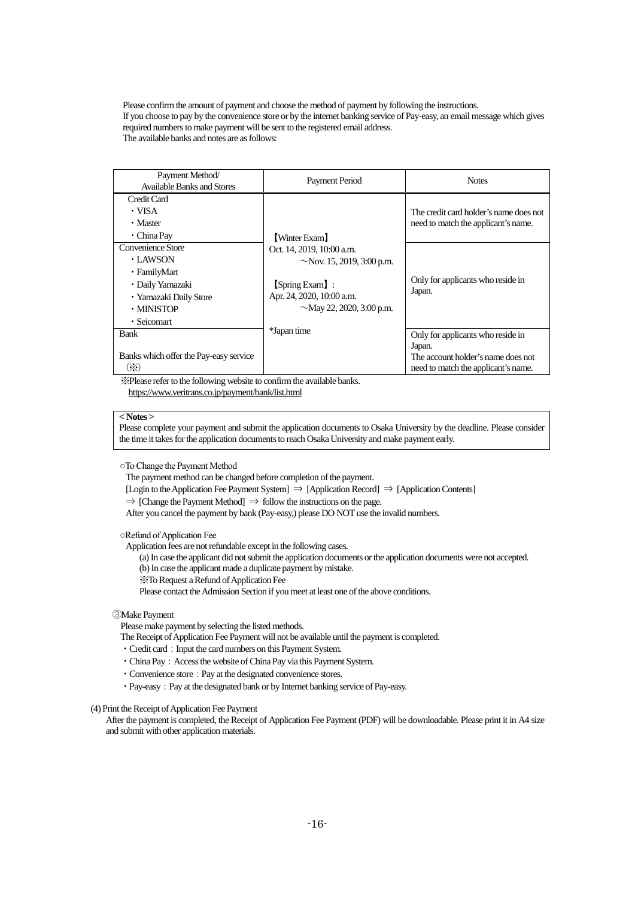Please confirm the amount of payment and choose the method of payment by following the instructions. If you choose to pay by the convenience store or by the internet banking service of Pay-easy, an email message which gives required numbers to make payment will be sent to the registered email address. The available banks and notes are as follows:

| Payment Method/<br>Available Banks and Stores                                                                                        | Payment Period                                                                                                                                                                | <b>Notes</b>                                                                                                             |
|--------------------------------------------------------------------------------------------------------------------------------------|-------------------------------------------------------------------------------------------------------------------------------------------------------------------------------|--------------------------------------------------------------------------------------------------------------------------|
| Credit Card<br>• VISA<br>• Master<br>$\cdot$ China Pay                                                                               | [Winter Exam]<br>Oct. 14, 2019, 10:00 a.m.<br>$\sim$ Nov. 15, 2019, 3:00 p.m.<br>[Spring Exam]:<br>Apr. 24, 2020, 10:00 a.m.<br>$\sim$ May 22, 2020, 3:00 p.m.<br>*Japan time | The credit card holder's name does not<br>need to match the applicant's name.                                            |
| Convenience Store<br>$\cdot$ LAWSON<br>• FamilyMart<br>· Daily Yamazaki<br>· Yamazaki Daily Store<br>$\cdot$ MINISTOP<br>· Seicomart |                                                                                                                                                                               | Only for applicants who reside in<br>Japan.                                                                              |
| <b>Bank</b><br>Banks which offer the Pay-easy service<br>$(\%)$                                                                      |                                                                                                                                                                               | Only for applicants who reside in<br>Japan.<br>The account holder's name does not<br>need to match the applicant's name. |

※Please refer to the following website to confirm the available banks. https://www.veritrans.co.jp/payment/bank/list.html

### **< Notes >**

Please complete your payment and submit the application documents to Osaka University by the deadline. Please consider the time it takes for the application documents to reach Osaka University and make payment early.

○To Change the Payment Method

The payment method can be changed before completion of the payment.

[Login to the Application Fee Payment System] ⇒ [Application Record] ⇒ [Application Contents]

 $\Rightarrow$  [Change the Payment Method]  $\Rightarrow$  follow the instructions on the page.

After you cancel the payment by bank (Pay-easy,) please DO NOT use the invalid numbers.

○Refund of Application Fee

Application fees are not refundable except in the following cases.

(a) In case the applicant did not submit the application documents or the application documents were not accepted.

(b) In case the applicant made a duplicate payment by mistake.

※To Request a Refund of Application Fee

Please contact the Admission Section if you meet at least one of the above conditions.

### ③Make Payment

Please make payment by selecting the listed methods.

The Receipt of Application Fee Payment will not be available until the payment is completed.

- Credit card: Input the card numbers on this Payment System.
- China Pay: Access the website of China Pay via this Payment System.
- Convenience store: Pay at the designated convenience stores.
- Pay-easy: Pay at the designated bank or by Internet banking service of Pay-easy.

### (4) Print the Receipt of Application Fee Payment

After the payment is completed, the Receipt of Application Fee Payment (PDF) will be downloadable. Please print it in A4 size and submit with other application materials.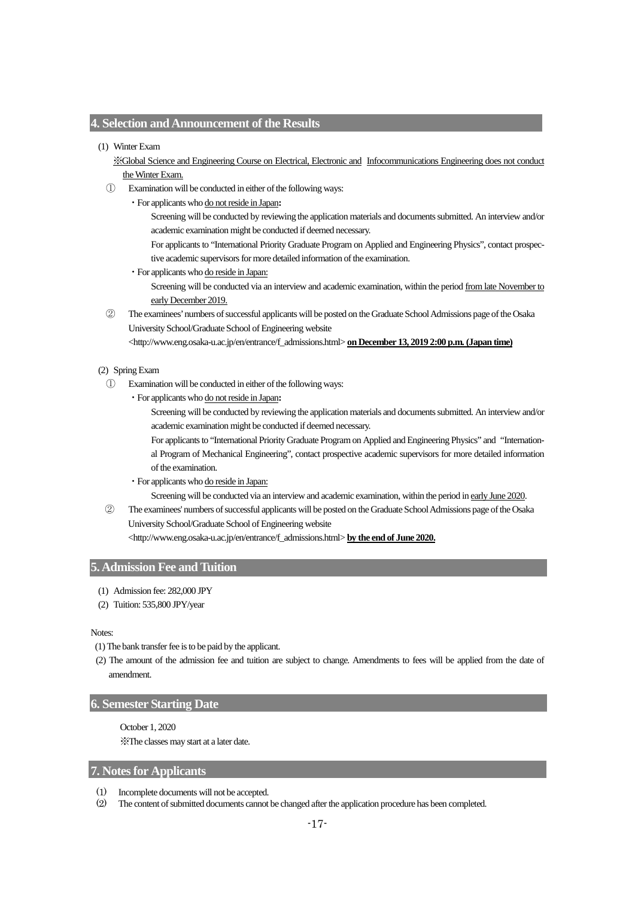### <span id="page-18-0"></span>**4. Selection and Announcement of the Results**

### (1) Winter Exam

※Global Science and Engineering Course on Electrical, Electronic and Infocommunications Engineering does not conduct the Winter Exam.

- Examination will be conducted in either of the following ways:
	- ・For applicants who do not reside in Japan**:**

Screening will be conducted by reviewing the application materials and documents submitted. An interview and/or academic examination might be conducted if deemed necessary.

For applicants to "International Priority Graduate Program on Applied and Engineering Physics", contact prospective academic supervisors for more detailed information of the examination.

・For applicants who do reside in Japan:

Screening will be conducted via an interview and academic examination, within the period from late November to early December 2019.

② The examinees'numbers of successful applicants will be posted on the Graduate School Admissions page of the Osaka University School/Graduate School of Engineering website

<http://www.eng.osaka-u.ac.jp/en/entrance/f\_admissions.html> **on December 13, 2019 2:00 p.m. (Japan time)**

#### (2) Spring Exam

- ① Examination will be conducted in either of the following ways:
	- ・For applicants who do not reside in Japan**:**

Screening will be conducted by reviewing the application materials and documents submitted. An interview and/or academic examination might be conducted if deemed necessary.

For applicants to "International Priority Graduate Program on Applied and Engineering Physics" and "International Program of Mechanical Engineering", contact prospective academic supervisors for more detailed information of the examination.

・For applicants who do reside in Japan:

Screening will be conducted via an interview and academic examination, within the period in early June 2020.

② The examinees' numbers of successful applicants will be posted on the Graduate School Admissions page of the Osaka University School/Graduate School of Engineering website

<http://www.eng.osaka-u.ac.jp/en/entrance/f\_admissions.html> **by the end of June 2020.**

### <span id="page-18-1"></span>**5. Admission Fee and Tuition**

- (1) Admission fee: 282,000 JPY
- (2) Tuition: 535,800 JPY/year

### Notes:

- (1) The bank transfer fee is to be paid by the applicant.
- (2) The amount of the admission fee and tuition are subject to change. Amendments to fees will be applied from the date of amendment.

### <span id="page-18-2"></span>**6. Semester Starting Date**

October 1, 2020 ※The classes may start at a later date.

### <span id="page-18-3"></span>**7. Notes for Applicants**

- (1) Incomplete documents will not be accepted.
- (2) The content of submitted documents cannot be changed after the application procedure has been completed.